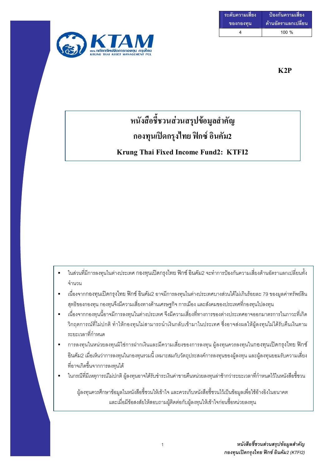| ระดับความเสี่ยง | ้ ป้องกันความเสี่ยง |
|-----------------|---------------------|
| ของกองทน        | ด้านอัตราแลกเปลี่ยน |
|                 | $100 \%$            |



### $K2P$

# หนังสือชี้ชวนส่วนสรุปข้อมูลสำคัญ ึกองทุนเปิดกรุงไทย ฟิกซ์ อินคัม2 Krung Thai Fixed Income Fund2: KTFI2

- ่ ในส่วนที่มีการลงทุนในต่างประเทศ กองทุนเปิดกรุงไทย ฟิกซ์ อินคัม2 จะทำการป้องกันความเสี่ยงด้านอัตราแลกเปลี่ยนทั้ง จำนวน
- ้ เนื่องจากกองทุนเปิดกรุงไทย ฟิกซ์ อินคัม2 อาจมีการลงทุนในต่างประเทศบางส่วนได้ไม่เกินร้อยละ 79 ของมูลค่าทรัพย์สิน  $\blacksquare$ ้สุทธิของกองทุน กองทุนจึงมีความเสี่ยงทางด้านเศรษฐกิจ การเมือง และสังคมของประเทศที่กองทุนไปลงทุน
- ้เนื่องจากกองทุนนี้อาจมีการลงทุนในต่างประเทศ จึงมีความเสี่ยงที่ทางการของต่างประเทศอาจออกมาตรการในภาวะที่เกิด  $\blacksquare$ ้วิกฤตการณ์ที่ไม่ปกติ ทำให้กองทุนไม่สามารถนำเงินกลับเข้ามาในประเทศ ซึ่งอาจส่งผลให้ผู้ลงทุนไม่ได้รับคืนเงินตาม ระยะเวลาที่กำหนด
- ้ การลงทุนในหน่วยลงทุนมิใช่การฝากเงินและมีความเสี่ยงของการลงทุน ผู้ลงทุนควรลงทุนในกองทุนเปิดกรุงไทย ฟิกซ์ ้อินคัม2 เมื่อเห็นว่าการลงทุนในกองทุนรวมนี้ เหมาะสมกับวัตถุประสงค์การลงทุนของผู้ลงทุน และผู้ลงทุนยอมรับความเสี่ยง ที่อาจเกิดขึ้นจากการลงทนได้
- ่ ในกรณีที่มีเหตุการณ์ไม่ปกติ ผู้ลงทุนอาจได้รับชำระเงินค่าขายคืนหน่วยลงทุนล่าช้ากว่าระยะเวลาที่กำหนดไว้ในหนังสือชี้ชวน

้ผู้ลงทุนควรศึกษาข้อมูลในหนังสือชี้ชวนให้เข้าใจ และควรเก็บหนังสือชี้ชวนไว้เป็นข้อมูลเพื่อใช้อ้างอิงในอนาคต และเมื่อมีข้อสงสัยให้สอบถามผู้ติดต่อกับผู้ลงทุนให้เข้าใจก่อนซื้อหน่วยลงทุน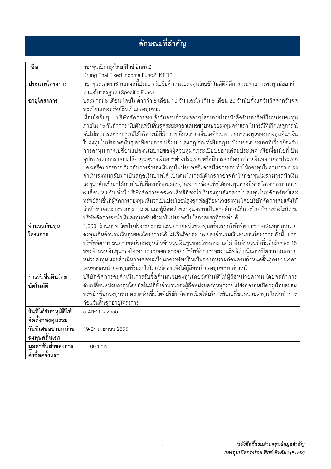# ลักษณะที่สำคัญ

| ชื่อ                                | กองทุนเปิดกรุงไทย ฟิกซ์ อินคัม2                                                                                                                                    |  |  |
|-------------------------------------|--------------------------------------------------------------------------------------------------------------------------------------------------------------------|--|--|
|                                     | Krung Thai Fixed Income Fund2: KTFI2                                                                                                                               |  |  |
| ประเภทโครงการ                       | ้กองทุนรวมตราสารแห่งหนี้ประเภทรับซื้อคืนหน่วยลงทุนโดยอัตโนมัติที่มีการกระจายการลงทุนน้อยกว่า                                                                       |  |  |
|                                     | เกณฑ์มาตรฐาน (Specific Fund)                                                                                                                                       |  |  |
| อายุโครงการ                         | <u>ประมาณ 6 เดือน โดยไม่ต่ำกว่า 5 เดือน 10 วัน และไม่เกิน 6 เดือน 20 วันนับตั้งแต่วันถัดจากวันจด</u>                                                               |  |  |
|                                     | ทะเบียนกองทรัพย์สินเป็นกองทุนรวม                                                                                                                                   |  |  |
|                                     | เงื่อนไขอื่นๆ :   บริษัทจัดการจะแจ้งวันครบกำหนดอายุโครงการในหนังสือรับรองสิทธิในหน่วยลงทุน                                                                         |  |  |
|                                     | ภายใน 15 วันทำการ นับตั้งแต่วันสิ้นสุดระยะเวลาเสนอขายหน่วยลงทุนครั้งแรก ในกรณีที่เกิดเหตุการณ์                                                                     |  |  |
|                                     | อันไม่สามารถคาดการณ์ได้หรือกรณีที่มีการเปลี่ยนแปลงอื่นใดที่กระทบต่อการลงทุนของกองทุนที่นำเงิน                                                                      |  |  |
|                                     | ไปลงทุนในประเทศนั้นๆ อาทิเช่น การเปลี่ยนแปลงกฎเกณฑ์หรือกฎระเบียบของประเทศที่เกี่ยวข้องกับ                                                                          |  |  |
|                                     | ึการลงทุน การเปลี่ยนแปลงนโยบายของผู้ควบคุมกฎระเบียบของแต่ละประเทศ หรือเงื่อนไขที่เป็น                                                                              |  |  |
|                                     | จุปสรรคต่อการแลกเปลี่ยนระหว่างเงินตราต่างประเทศ หรือมีการจำกัดการโอนเงินออกนอกประเทศ                                                                               |  |  |
|                                     | และ/หรือมาตรการเกี่ยวกับการสำรองเงินทุนในประเทศซึ่งอาจมีผลกระทบทำให้กองทุนไม่สามารถแปลง                                                                            |  |  |
|                                     | ค่าเงินลงทุนกลับมาเป็นสกุลเงินบาทได้ เป็นต้น ในกรณีดังกล่าวอาจทำให้กองทุนไม่สามารถนำเงิน                                                                           |  |  |
|                                     | ลงทุนกลับเข้ามาได้ภายในวันที่ครบกำหนดอายุโครงการ ซึ่งจะทำให้กองทุนอาจมีอายุโครงการมากกว่า                                                                          |  |  |
|                                     | 6 เดือน 20 วัน ทั้งนี้ บริษัทจัดการขอสงวนสิทธิที่จะนำเงินลงทุนดังกล่าวไปลงทุนในหลักทรัพย์และ                                                                       |  |  |
|                                     | ทรัพย์สินอื่นที่ผู้จัดการกองทุนเห็นว่าเป็นประโยชน์สูงสุดต่อผู้ถือหน่วยลงทุน โดยบริษัทจัดการจะแจ้งให้                                                               |  |  |
|                                     | ้สำนักงานคณะกรรมการ ก.ล.ต. และผู้ถือหน่วยลงทุนทราบเป็นลายลักษณ์อักษรโดยเร็ว อย่างไรก็ตาม                                                                           |  |  |
|                                     | บริษัทจัดการจะนำเงินลงทุนกลับเข้ามาในประเทศในโอกาสแรกที่กระทำได้                                                                                                   |  |  |
| จำนวนเงินทุน                        | 1,000 ล้านบาท โดยในช่วงระยะเวลาเสนอขายหน่วยลงทุนครั้งแรกบริษัทจัดการอาจเสนอขายหน่วย                                                                                |  |  |
| โครงการ                             | ้ลงทุนเกินจำนวนเงินทุนของโครงการได้ ไม่เกินร้อยละ 15 ของจำนวนเงินทุนของโครงการ ทั้งนี้  หาก                                                                        |  |  |
|                                     | บริษัทจัดการเสนอขายหน่วยลงทุนเกินจำนวนเงินทุนของโครงการ แต่ไม่เต็มจำนวนที่เพิ่มอีกร้อยละ 15                                                                        |  |  |
|                                     | ของจำนวนเงินทุนของโครงการ (green shoe) บริษัทจัดการขอสงวนสิทธิดำเนินการปิดการเสนอขาย                                                                               |  |  |
|                                     | หน่วยลงทุน และดำเนินการจดทะเบียนกองทรัพย์สินเป็นกองทุนรวมก่อนครบกำหนดสิ้นสุดระยะเวลา                                                                               |  |  |
| การรับซื้อคืนโดย                    | เสนอขายหน่วยลงทุนครั้งแรกได้โดยไม่ต้องแจ้งให้ผู้ถือหน่วยลงทุนทราบล่วงหน้า<br>บริษัทจัดการจะดำเนินการรับซื้อคืนหน่วยลงทุนโดยอัตโนมัติให้ผู้ถือหน่วยลงทุน โดยจะทำการ |  |  |
|                                     |                                                                                                                                                                    |  |  |
| อัตโนมัติ                           | สับเปลี่ยนหน่วยลงทุนโดยอัตโนมัติทั้งจำนวนของผู้ถือหน่วยลงทุนทุกรายไปยังกองทุนเปิดกรุงไทยสะสม                                                                       |  |  |
|                                     | ทรัพย์ หรือกองทุนรวมตลาดเงินอื่นใดที่บริษัทจัดการเปิดให้บริการสับเปลี่ยนหน่วยลงทุน ในวันทำการ                                                                      |  |  |
|                                     | ก่อนวันสิ้นสุดอายุโครงการ                                                                                                                                          |  |  |
| วันที่ได้รับอนุมัติให้              | 5 เมษายน 2555                                                                                                                                                      |  |  |
| จัดตั้งกองทุนรวม                    |                                                                                                                                                                    |  |  |
| วันที่เสนอขายหน่วย                  | 19-24 เมษายน 2555                                                                                                                                                  |  |  |
| ลงทุนครั้งแรก                       |                                                                                                                                                                    |  |  |
| <del>.</del><br>มูลค่าขั้นต่ำของการ | 1,000 บาท                                                                                                                                                          |  |  |
| สั่งซื้อครั้งแรก                    |                                                                                                                                                                    |  |  |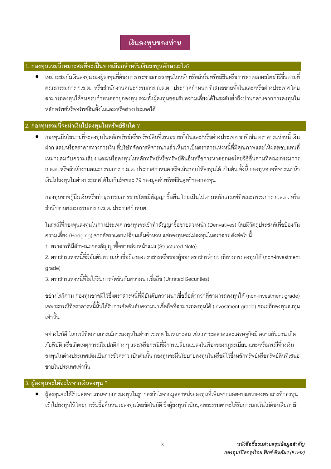### เงินลงทุนของท่าน

### 1. กองทุนรวมนี้เหมาะสมที่จะเป็นทางเลือกสำหรับเงินลงทุนลักษณะใด?

แหมาะสมกับเงินลงทนของผ้ลงทนที่ต้องการกระจายการลงทนในหลักทรัพย์หรือทรัพย์สินหรือการหาดอกผลโดยวิธีอื่นตามที่ ิคณะกรรมการ ก.ล.ต. หรือสำนักงานคณะกรรมการ ก.ล.ต. ประกาศกำหนด ที่เสนอขายทั้งในและ/หรือต่างประเทศ โดย ี่ สามารถลงทนได้จนครบกำหนดอายกองทน รวมทั้งผ้ลงทนยอมรับความเสี่ยงได้ในระดับต่ำถึงปานกลางจากการลงทนใน หลักทรัพย์หรือทรัพย์สินทั้งในและ/หรือต่างประเทศได้

### 2. กองทุนรวมนี้จะนำเงินไปลงทุนในทรัพย์สินใด ?

● กองทุนมีนโยบายที่จะลงทุนในหลักทรัพย์หรือทรัพย์สินที่เสนอขายทั้งในและ/หรือต่างประเทศ อาทิเช่น ตราสารแห่งหนี้ เงิน ฝาก และ/หรือตราสารทางการเงิน ที่บริษัทจัดการพิจารณาแล้วเห็นว่าเป็นตราสารแห่งหนี้ที่มีคุณภาพและให้ผลตอบแทนที่ เหมาะสมกับความเสี่ยง และ/หรือลงทุนในหลักทรัพย์หรือทรัพย์สินอื่นหรือการหาดอกผลโดยวิธีอื่นตามที่คณะกรรมการ ึก.ล.ต. หรือสำนักงานคณะกรรมการ ก.ล.ต. ประกาศกำหนด หรือเห็นชอบให้ลงทุนได้ เป็นต้น ทั้งนี้ กองทุนอาจพิจารณานำ เงินไปลงทุนในต่างประเทศได้ไม่เกินร้อยละ 79 ของมูลค่าทรัพย์สินสุทธิของกองทุน

ึกองทุนอาจกู้ยืมเงินหรือทำธุรกรรมการขายโดยมีสัญญาซื้อคืน โดยเป็นไปตามหลักเกณฑ์ที่คณะกรรมการ ก.ล.ต. หรือ ้สำนักงานคณะกรรมการ ก.ล.ต. ประกาศกำหนด

่ ในกรณีที่กองทุนลงทุนในต่างประเทศ กองทุนจะเข้าทำสัญญาซื้อขายล่วงหน้า (Derivatives) โดยมีวัตถุประสงค์เพื่อป้องกัน ิ ความเสี่ยง (Hedging) จากอัตราแลกเปลี่ยนเต็มจำนวน แต่กองทนจะไม่ลงทุนในตราสาร ดังต่อไปนี้

- 1. ตราสารที่มีลักษณะของสัญญาซื้อขายล่วงหน้าแฝง (Structured Note)
- 2. ตราสารแห่งหนี้ที่มีอันดับความน่าเชื่อถือของตราสารหรือของผู้ออกตราสารต่ำกว่าที่สามารถลงทุนได้ (non-investment grade)
- 3 ตราสารแห่งหนี้ที่ไม่ได้รับการจัดอันดับความน่าเชื่อถือ (Unrated Securities)

้ อย่างไรก็ตาม กองทนอาจมีไว้ซึ่งตราสารหนี้ที่มีอันดับความน่าเชื่อถือต่ำกว่าที่สามารถลงทนได้ (non-investment grade) เฉพาะกรณีที่ตราสารหนี้นั้นได้รับการจัดอันดับความน่าเชื่อถือที่สามารถลงทุนได้ (investment grade) ขณะที่กองทุนลงทุน เท่านั้น

้อย่างไรก็ดี ในกรณีที่สถานการณ์การลงทุนในต่างประเทศ ไม่เหมาะสม เช่น ภาวะตลาดและเศรษฐกิจมี ความผันผวน เกิด ้ภัยพิบัติ หรือเกิดเหตการณ์ไม่ปกติต่าง ๆ และ/หรือกรณีที่มีการเปลี่ยนแปลงในเรื่องของกฦระเบียบ และ/หรือกรณีที่วงเงิน ้ลงทุนในต่างประเทศเต็มเป็นการชั่วคราว เป็นต้นนั้น กองทุนจะมีนโยบายลงทุนในหรือมีไว้ซึ่งหลักทรัพย์หรือทรัพย์สินที่เสนอ ขายในประเทศเท่านั้น

### 3. ผู้ลงทุนจะได้อะไรจากเงินลงทุน ?

● ผู้ลงทุนจะได้รับผลตอบแทนจากการลงทุนในรูปของกำไรจากมูลค่าหน่วยลงทุนที่เพิ่มจากผลตอบแทนของตราสารที่กองทุน เข้าไปลงทุนไว้ โดยการรับซื้อคืนหน่วยลงทุนโดยอัตโนมัติ ซึ่งผู้ลงทุนที่เป็นบุคคลธรรมดาจะได้รับการยกเว้นไม่ต้องเสียภาษี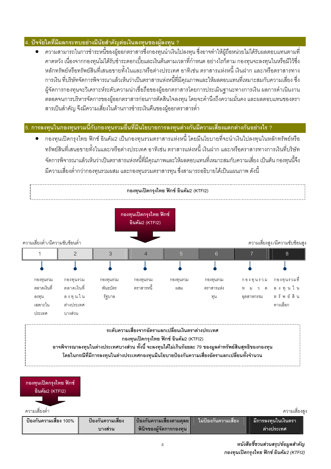### 4. ปัจจัยใดที่มีผลกระทบอย่างมีนัยสำคัญต่อเงินลงทนของผ้ลงทน ?

่ ความสามารถในการชำระหนี้ของผู้ออกตราสารซึ่งกองทุนนำเงินไปลงทุน ซึ่งอาจทำให้ผู้ถือหน่วยไม่ได้รับผลตอบแทนตามที่ ิ คาดหวัง เนื่องจากกองทุนไม่ได้รับชำระดอกเบี้ยและเงินต้นตามเวลาที่กำหนด อย่างไรก็ตาม กองทุนจะลงทุนในหรือมีไว้ซึ่ง หลักทรัพย์หรือทรัพย์สินที่เสนอขายทั้งในและ/หรือต่างประเทศ อาทิเช่น ตราสารแห่งหนี้ เงินฝาก และ/หรือตราสารทาง ้การเงิน ที่บริษัทจัดการพิจารณาแล้วเห็นว่าเป็นตราสารแห่งหนี้ที่มีคณภาพและให้ผลตอบแทนที่เหมาะสมกับความเสี่ยง ซึ่ง ้ผู้จัดการกองทุนจะวิเคราะห์ระดับความน่าเชื่อถือของผู้ออกตราสารโดยการประเมินฐานะทางการเงิน ผลการดำเนินงาน ้ตลอดจนการบริหารจัดการของผู้ออกตราสารก่อนการตัดสินใจลงทุน โดยจะคำนึงถึงความมั่นคง และผลตอบแทนของตรา ้สารเป็นสำคัญ จึงมีความเสี่ยงในด้านการชำระเงินคืนของผู้ออกตราสารต่ำ

### 5. การลงทุนในกองทุนรวมนี้กับกองทุนรวมอื่นที่มีนโยบายการลงทุนต่างกันมีความเสี่ยงแตกต่างกันอย่างไร ?

้ กองทุนเปิดกรุงไทย ฟิกซ์ อินคัม2 เป็นกองทุนรวมตราสารแห่งหนี้ โดยมีนโยบายที่จะนำเงินไปลงทุนในหลักทรัพย์หรือ ิทรัพย์สินที่เสนอขายทั้งในและ/หรือต่างประเทศ อาทิเช่น ตราสารแห่งหนี้ เงินฝาก และ/หรือตราสารทางการเงินที่บริษัท ้จัดการพิจารณาแล้วเห็นว่าเป็นตราสารแห่งหนี้ที่มีคุณภาพและให้ผลตอบแทนที่เหมาะสมกับความเสี่ยง เป็นต้น กองทุนนี้จึง ้มีความเสี่ยงต่ำกว่ากองทุนรวมผสม และกองทุนรวมตราสารทุน ซึ่งสามารถอธิบายได้เป็นแผนภาพ ดังนี้



### กองทนเปิดกรงไทย ฟิกซ์ อินคัม2 (KTFI2)

ิอาจพิจารณาลงทุนในต่างประเทศบางส่วน ทั้งนี้ จะลงทุนได้ไม่เกินร้อยละ 79 ของมูลค่าทรัพย์สินสุทธิของกองทุน โดยในกรณีที่มีการลงทุนในต่างประเทศกองทุนมีนโยบายป้องกันความเสี่ยงอัตราแลกเปลี่ยนทั้งจำนวน

| ึกองทุนเปิดกรุงไทย ฟิกซ์<br>อินคัม2 (KTFI2) |                   |                            |                                   |                      |
|---------------------------------------------|-------------------|----------------------------|-----------------------------------|----------------------|
| ความเสียงต่ำ                                |                   |                            |                                   | ความเสียงสูง         |
| ป้องกันความเสี่ยง 100%                      | ป้องกันความเสี่ยง | ู ป้องกันความเสี่ยงตามดุลย | ไม่ป้องกันความเสี่ยง <sub>เ</sub> | ่มีการลงทุนในเงินตรา |
|                                             | ิบางส่วน          | พินิจของผู้จัดการกองทุน    |                                   | ี ต่างประเทศ         |

หนังสือชี้ชวนส่วนสรุปข้อมูลสำคัญ กองทุนเปิดกรุงไทย ฟิกซ์ อินคัม2 (KTFI2)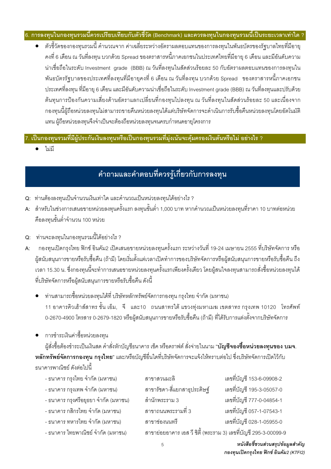### 6. การลงทุนในกองทุนรวมนี้ควรเปรียบเทียบกับตัวชี้วัด (Benchmark) และควรลงทุนในกองทุนรวมนี้เป็นระยะเวลาเท่าใด ?

• ตัวขี้วัดของกองทุนรวมนี้ คำนวณจาก ค่าเฉลี่ยระหว่างอัตราผลตอบแทนของการลงทุนในพันธบัตรของรัฐบาลไทยที่มีอายุ ้ คงที่ 6 เดือน ณ วันที่ลงทุน บวกด้วย Spread ของตราสารหนี้ภาคเอกชนในประเทศไทยที่มีอายุ 6 เดือน และมีอันดับความ น่าเชื่อถือในระดับ Investment grade (BBB) ณ วันที่ลงทุนในสัดส่วนร้อยละ 50 กับอัตราผลตอบแทนของการลงทุนใน ้ พันธบัตรรัฐบาลของประเทศที่ลงทุนที่มีอายุคงที่ 6 เดือน ณ วันที่ลงทุน บวกด้วย Spread ของตราสารหนี้ภาคเอกชน ประเทศที่ลงทุน ที่มีอายุ 6 เดือน และมีอันดับความน่าเชื่อถือในระดับ Investment grade (BBB) ณ วันที่ลงทุนและปรับด้วย ้ต้นทุนการป้องกันความเสี่ยงด้านอัตราแลกเปลี่ยนที่กองทุนไปลงทุน ณ วันที่ลงทุนในสัดส่วนร้อยละ 50 และเนื่องจาก ึกองทุนนี้ผู้ถือหน่วยลงทุนไม่สามารถขายคืนหน่วยลงทุนได้แต่บริษัทจัดการจะดำเนินการรับซื้อคืนหน่วยลงทุนโดยอัตโนมัติ แทน ผู้ถือหน่วยลงทุนจึงจำเป็นจะต้องถือหน่วยลงทุนจนครบกำหนดอายุโครงการ

### 7. เป็นกองทุนรวมที่มีผู้ประกันเงินลงทุนหรือเป็นกองทุนรวมที่มุ่งเน้นจะคุ้มครองเงินต้นหรือไม่ อย่างไร ?

ไม่มี

## ้คำถามและคำตอบที่ควรรู้เกี่ยวกับการลงทุน

- Q: ท่านต้องลงทนเป็นจำนวนเงินเท่าใด และคำนวณเป็นหน่วยลงทุนได้อย่างไร ?
- ี A: สำหรับในช่วงการเสนอขายหน่วยลงทุนครั้งแรก ลงทุนขั้นต่ำ 1,000 บาท หากคำนวณเป็นหน่วยลงทุนที่ราคา 10 บาทต่อหน่วย ์คือลงทุนขั้นต่ำจำนวน 100 หน่วย
- Q: ท่านจะลงทนในกองทนรวมนี้ได้อย่างไร ?
- ึกองทุนเปิดกรุงไทย ฟิกซ์ อินคัม2 เปิดเสนอขายหน่วยลงทุนครั้งแรก ระหว่างวันที่ 19-24 เมษายน 2555 ที่บริษัทจัดการ หรือ  $\mathbf{A}$ ผู้สนับสนุนการขายหรือรับซื้อคืน (ถ้ามี) โดยเริ่มตั้งแต่เวลาเปิดทำการของบริษัทจัดการหรือผู้สนับสนุนการขายหรือรับซื้อคืน ถึง เวลา 15.30 น. ซึ่งกองทุนนี้จะทำการเสนอขายหน่วยลงทุนครั้งแรกเพียงครั้งเดียว โดยผู้สนใจลงทุนสามารถสั่งซื้อหน่วยลงทุนได้ ที่บริษัทจัดการหรือผ้สนับสนนการขายหรือรับซื้อคืน ดังนี้
	- ท่านสามารถซื้อหน่วยลงทุนได้ที่ บริษัทหลักทรัพย์จัดการกองทุน กรุงไทย จำกัด (มหาชน) 11 อาคารคิวเฮ้าส์สาทร ชั้น เอ็ม, จี และ10 ถนนสาทรใต้ แขวงทุ่งมหาเมฆ เขตสาทร กรุงเทพ 10120 โทรศัพท์ 0-2670-4900 โทรสาร 0-2679-1820 หรือผู้สนับสนุนการขายหรือรับซื้อคืน (ถ้ามี) ที่ได้รับการแต่งตั้งจากบริษัทจัดการ
	- การชำระเงินค่าซื้อหน่วยลงทน

ผู้สั่งซื้อต้องชำระเป็นเงินสด คำสั่งหักบัญชีธนาคาร เช็ค หรือดราฟต์ สั่งจ่ายในนาม "**บัญชีจองซื้อหน่วยลงทุนของ บมจ**. **หลักทรัพย์จัดการกองทุน กรุงไทย**" และ/หรือบัญชีอื่นใดที่บริษัทจัดการจะแจ้งให้ทราบต่อไป ซึ่งบริษัทจัดการเปิดไว้กับ ธนาคารพาณิชย์ ดังต่อไปนี้

- ธนาคาร กรุงไทย จำกัด (มหาชน)
- ธนาคาร กรุงเทพ จำกัด (มหาชน)
- ธนาคาร กรุงศรีอยุธยา จำกัด (มหาชน)
- ธนาคาร กสิกรไทย จำกัด (มหาชน)
- ธนาคาร ทหารไทย จำกัด (มหาชน)
- ธนาคาร ไทยพาณิชย์ จำกัด (มหาชน)
- สาขาสวนมะลิ เลขที่บัญชี 153-6-09908-2 สาขารัชดา-สี่แยกสาธประดิษฐ์ เลขที่บัญชี 195-3-05057-0 สำนักพระราบ 3 เลขที่บัญชี 777-0-04854-1 ี สาขาถนนพระรามที่ 3 เลขที่บัญชี 057-1-07543-1 เลขที่บัณชี 028-1-05955-0 สาขาช่องนนทรี สาขาย่อยอาคาร เอส วี ซิตี้ (พระราม 3) เลขที่บัณชี 295-3-00099-9

หนังสือชี้ชวนส่วนสรุปข้อมูลสำคัญ กองทุนเปิดกรุงไทย ฟิกซ์ อินคัม2 (KTFI2)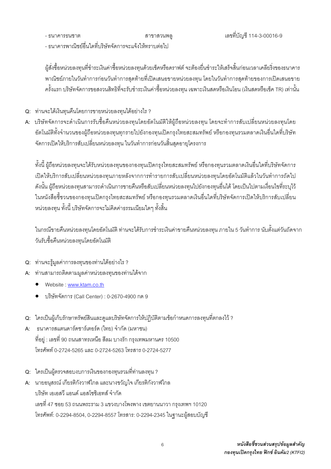- ธบาคารธบศาต

สาขาสวนพล

- ธนาคารพาณิชย์คื่นใดที่เริษัทจัดการจะแจ้งให้ทราบต่อไป

ผู้สั่งซื้อหน่วยลงทุนที่ชำระเงินค่าซื้อหน่วยลงทุนด้วยเช็คหรือดราฟต์ จะต้องยื่นชำระให้เสร็จสิ้นก่อนเวลาเคลียริ่งของธนาคาร พาณิชย์ภายในวันทำการก่อนวันทำการสุดท้ายที่เปิดเสนอขายหน่วยลงทุน โดยในวันทำการสุดท้ายของการเปิดเสนอขาย ครั้งแรก บริษัทจัดการขอสงวนสิทธิที่จะรับชำระเงินค่าซื้อหน่วยลงทน เฉพาะเงินสดหรือเงินโอน (เงินสดหรือเช็ค TR) เท่านั้น

- Q: ท่านจะได้เงินทุนคืนโดยการขายหน่วยลงทุนได้อย่างไร ?
- A: บริษัทจัดการจะดำเนินการรับซื้อคืนหน่วยลงทุนโดยอัตโนมัติให้ผู้ถือหน่วยลงทุน โดยจะทำการสับเปลี่ยนหน่วยลงทุนโดย ้อัตโนมัติทั้งจำนวนของผู้ถือหน่วยลงทุนทุกรายไปยังกองทุนเปิดกรุงไทยสะสมทรัพย์ หรือกองทุนรวมตลาดเงินอื่นใดที่บริษัท ้จัดการเปิดให้บริการสับเปลี่ยนหน่วยลงทุน ในวันทำการก่อนวันสิ้นสดอายุโครงการ

้ทั้งนี้ ผู้ถือหน่วยลงทุนจะได้รับหน่วยลงทุนของกองทุนเปิดกรุงไทยสะสมทรัพย์ หรือกองทุนรวมตลาดเงินอื่นใดที่บริษัทจัดการ เปิดให้บริการสับเปลี่ยนหน่วยลงทุนภายหลังจากการทำรายการสับเปลี่ยนหน่วยลงทุนโดยอัตโนมัติแล้วในวันทำการถัดไป ดังนั้น ผู้ถือหน่วยลงทุนสามารถดำเนินการขายคืนหรือสับเปลี่ยนหน่วยลงทุนไปยังกองทุนอื่นได้ โดยเป็นไปตามเงื่อนไขที่ระบุไว้ ในหนังสือขี้ชวนของกองทุนเปิดกรุงไทยสะสมทรัพย์ หรือกองทุนรวมตลาดเงินอื่นใดที่บริษัทจัดการเปิดให้บริการสับเปลี่ยน หน่วยลงทุน ทั้งนี้ บริษัทจัดการจะไม่คิดค่าธรรมเนียมใดๆ ทั้งสิ้น

ในกรณีขายคืนหน่วยลงทุนโดยอัตโนมัติ ท่านจะได้รับการชำระเงินค่าขายคืนหน่วยลงทุน ภายใน 5 วันทำการ นับตั้งแต่วันถัดจาก วันรับซื้อคืนหน่วยลงทุนโดยอัตโนมัติ

- Q: ท่านจะรู้มูลค่าการลงทุนของท่านได้อย่างไร ?
- A: ท่านสามารถติดตามมูลค่าหน่วยลงทุนของท่านได้จาก
	- Website: www.ktam.co.th
	- าเริษัทจัดการ (Call Center) : 0-2670-4900 กด 9
- Q: ใครเป็นผู้เก็บรักษาทรัพย์สินและดูแลบริษัทจัดการให้ปฏิบัติตามข้อกำหนดการลงทุนที่ตกลงไว้ ?
- A: ธนาคารสแตนดาร์ดชาร์เตอร์ด (ไทย) จำกัด (มหาชน) ที่อยู่ : เลขที่ 90 ถนนสาทรเหนือ สีลม บางรัก กรุงเทพมหานคร 10500 โทรศัพท์ 0-2724-5265 และ 0-2724-5263 โทรสาร 0-2724-5277
- Q: ใครเป็นผู้ตรวจสอบงบการเงินของกองทุนรวมที่ท่านลงทุน ?
- A: นายอนุสรณ์ เกียรติกังวาฬไกล และนางขวัญใจ เกียรติกังวาฬไกล บริษัท เอเอสวี แอนด์ แอสโซซิเอทส์ จำกัด เลขที่ 47 ซอย 53 ถนนพระราม 3 แขวงบางโพงพาง เขตยานนาวา กรุงเทพฯ 10120 โทรศัพท์: 0-2294-8504, 0-2294-8557 โทรสาร: 0-2294-2345 ในฐานะผู้สอบบัญชี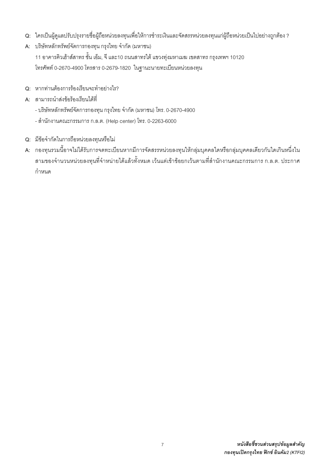- Q: ใครเป็นผู้ดูแลปรับปรุงรายชื่อผู้ถือหน่วยลงทุนเพื่อให้การชำระเงินและจัดสรรหน่วยลงทุนแก่ผู้ถือหน่วยเป็นไปอย่างถูกต้อง ?
- A: บริษัทหลักทรัพย์จัดการกองทุน กรุงไทย จำกัด (มหาชน)

11 อาคารคิวเฮ้าส์สาทร ชั้น เอ็ม, จี และ10 ถนนสาทรใต้ แขวงทุ่งมหาเมฆ เขตสาทร กรุงเทพฯ 10120 โทรศัพท์ 0-2670-4900 โทรสาร 0-2679-1820 ในฐานะนายทะเบียนหน่วยลงทุน

- Q: หากท่านต้องการร้องเรียนจะทำอย่างไร?
- A: สามารถนำส่งข้อร้องเรียนได้ที่
	- บริษัทหลักทรัพย์จัดการกองทุน กรุงไทย จำกัด (มหาชน) โทร. 0-2670-4900
	- สำนักงานคณะกรรมการ ก.ล.ต. (Help center) โทร. 0-2263-6000
- Q: มีข้อจำกัดในการถือหน่วยลงทุนหรือไม่
- ่ A: กองทุนรวมนี้อาจไม่ได้รับการจดทะเบียนหากมีการจัดสรรหน่วยลงทุนให้กลุ่มบุคคลใดหรือกลุ่มบุคคลเดียวกันใดเกินหนึ่งใน สามของจำนวนหน่วยลงทุนที่จำหน่ายได้แล้วทั้งหมด เว้นแต่เข้าข้อยกเว้นตามที่สำนักงานคณะกรรมการ ก.ล.ต. ประกาศ กำหนด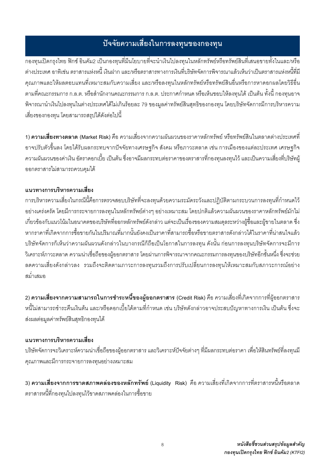## ปัจจัยความเสี่ยงในการลงทุนของกองทุน

์<br>กองทุนเปิดกรุงไทย ฟิกซ์ อินคัม2 เป็นกองทุนที่มีนโยบายที่จะนำเงินไปลงทุนในหลักทรัพย์หรือทรัพย์สินที่เสนอขายทั้งในและ/หรือ ้ต่างประเทศ อาทิเช่น ตราสารแห่งหนี้ เงินฝาก และ/หรือตราสารทางการเงินที่บริษัทจัดการพิจารณาแล้วเห็นว่าเป็นตราสารแห่งหนี้ที่มี ้คุณภาพและให้ผลตอบแทนที่เหมาะสมกับความเสี่ยง และ/หรือลงทนในหลักทรัพย์หรือทรัพย์สินอื่นหรือการหาดอกผลโดยวิธีอื่น ์ตามที่คณะกรรมการ ก.ล.ต. หรือสำนักงานคณะกรรมการ ก.ล.ต. ประกาศกำหนด หรือเห็นชอบให้ลงทุนได้ เป็นต้น ทั้งนี้ กองทุนอาจ พิจารณานำเงินไปลงทุนในต่างประเทศได้ไม่เกินร้อยละ 79 ของมูลค่าทรัพย์สินสุทธิของกองทุน โดยบริษัทจัดการมีการบริหารความ เสี่ยงของกองทน โดยสามารถสรปได้ดังต่อไปนี้

1) **ความเสี่ยงทางตลาด** (Market Risk) คือ ความเสี่ยงจากความผันผวนของราคาหลักทรัพย์ หรือทรัพย์สินในตลาดต่างประเทศที่ ้ อาจปรับตัวขึ้นลง โดยได้รับผลกระทบจากปัจจัยทางเศรษฐกิจ สังคม หรือภาวะตลาด เช่น การเมืองของแต่ละประเทศ เศรษฐกิจ ้ ความผันผวนของค่าเงิน อัตราดอกเบี้ย เป็นต้น ซึ่งอาจมีผลกระทบต่อราคาของตราสารที่กองทุนลงทุนไว้ และเป็นความเสี่ยงที่บริษัทผู้ ออกตราสารไม่สามารถควบคมได้

### แบวทางการบริหารความเสี่ยง

การบริหารความเสี่ยงในกรณีนี้คือการตรวจสอบบริษัทที่จะลงทุนด้วยความระมัดระวังและปฏิบัติตามกระบวนการลงทุนที่กำหนดไว้ ้อย่างเคร่งครัด โดยมีการกระจายการลงทุนในหลักทรัพย์ต่างๆ อย่างเหมาะสม โดยปกติแล้วความผันผวนของราคาหลักทรัพย์มักไม เกี่ยวข้องกับแนวโน้มในอนาคตของบริษัทที่ออกหลักทรัพย์ดังกล่าว แต่จะเป็นเรื่องของความสมดุลระหว่างผู้ซื้อและผู้ขายในตลาด ซึ่ง หากราคาที่เกิดจากการซื้อขายกันในปริมาณที่มากนั้นยังคงเป็นราคาที่สามารถซื้อหรือขายตราสารดังกล่าวได้ในราคาที่น่าสนใจแล้ว ้ บริษัทจัดการก็เห็นว่าความผันผวนดังกล่าวในบางกรณีก็ถือเป็นโอกาสในการลงทน ดังนั้น ก่อนการลงทนบริษัทจัดการจะมีการ ้วิเคราะห์ภาวะตลาด ความน่าเชื่อถือของผู้ออกตราสาร โดยผ่านการพิจารณาจากคณะกรรมการลงทุนของบริษัทอีกชั้นหนึ่ง ซึ่งจะช่วย ิลดความเสี่ยงดังกล่าวลง รวมถึงจะติดตามภาวะการลงทนรวมถึงการปรับเปลี่ยนการลงทนให้เหมาะสมกับสภาวะการณ์อย่าง ดบ่ำเสบค

2) ความเสี่ยงจากความสามารถในการชำระหนี้ของผู้ออกตราสาร (Credit Risk) คือ ความเสี่ยงที่เกิดจากการที่ผู้ออกตราสาร หนี้ไม่สามารถชำระคืนเงินต้น และ/หรือดอกเบี้ยได้ตามที่กำหนด เช่น บริษัทดังกล่าวอาจประสบปัญหาทางการเงิน เป็นต้น ซึ่งจะ ส่งผลต่อมูลค่าทรัพย์สินสุทธิกองทุนได้

### แนวทางการบริหารความเสี่ยง

้ บริษัทจัดการจะวิเคราะห์ความน่าเชื่อถือของผู้ออกตราสาร และวิเคราะห์ปัจจัยต่างๆ ที่มีผลกระทบต่อราคา เพื่อให้สินทรัพย์ที่ลงทุนมี คุณภาพและมีการกระจายการลงทุนอย่างเหมาะสม

3) ความเสี่ยงจากการขาดสภาพคล่องของหลักทรัพย์ (Liquidity Risk) คือ ความเสี่ยงที่เกิดจากการที่ตราสารหนี้หรือตลาด ิตราสารหนี้ที่กองทุนไปลงทุนไว้ขาดสภาพคล่องในการซื้อขาย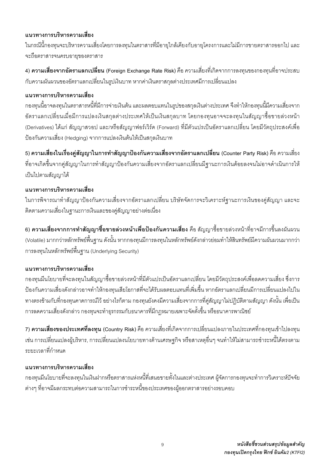### แนวทางการบริหารความเสี่ยง

ในกรณีนี้กองทุนจะบริหารความเสี่ยงโดยการลงทุนในตราสารที่มีอายุใกล้เคียงกับอายุโครงการและไม่มีการขายตราสารออกไป และ จะถือตราสารจนครบอายของตราสาร

4) **ความเสี่ยงจากอัตราแลกเปลี่ยน** (Foreian Exchange Rate Risk) คือ ความเสี่ยงที่เกิดจากการลงทนของกองทนที่อาจประสบ ้กับความผันผวนของอัตราแลกเปลี่ยนในรูปเงินบาท หากค่าเงินตราสกุลต่างประเทศมีการเปลี่ยนแปลง

### แนวทางการบริหารความเสี่ยง

ึกองทุนนี้อาจลงทุนในตราสารหนี้ที่มีการจ่ายเงินต้น และผลตอบแทนในรูปของสกุลเงินต่างประเทศ จึงทำให้กองทุนนี้มีความเสี่ยงจาก ้อัตราแลกเปลี่ยนเมื่อมีการแปลงเงินสกุลต่างประเทศให้เป็นเงินสกุลบาท โดยกองทุนอาจจะลงทุนในสัญญาซื้อขายล่วงหน้า (Derivatives) ได้แก่ สัญญาสวอป และ/หรือสัญญาฟอร์เวิร์ด (Forward) ที่มีตัวแปรเป็นอัตราแลกเปลี่ยน โดยมีวัตถุประสงค์เพื่อ ้ป้องกันความเสี่ยง (Hedging) จากการแปลงเงินต้นให้เป็นสกุลเงินบาท

5) ความเสี่ยงในเรื่องคู่สัญญาในการทำสัญญาป้องกันความเสี่ยงจากอัตราแลกเปลี่ยน (Counter Party Risk) คือ ความเสี่ยง ที่อาจเกิดขึ้นจากคู่สัญญาในการทำสัญญาป้องกันความเสี่ยงจากอัตราแลกเปลี่ยนมีฐานะการเงินด้อยลงจนไม่อาจดำเนินการให้ เป็นไปตามสัญญาได้

### แนวทางการบริหารความเสี่ยง

ในการพิจารณาทำสัญญาป้องกันความเสี่ยงจากอัตราแลกเปลี่ยน บริษัทจัดการจะวิเคราะห์ฐานะการเงินของคู่สัญญา และจะ ติดตามความเสี่ยงในฐานะการเงินและของคู่สัญญาอย่างต่อเนื่อง

่ 6) **ความเสี่ยงจากการทำสัญญาซื้อขายล่วงหน้าเพื่อป้องกันความเสี่ยง** คือ สัญญาซื้อขายล่วงหน้าที่อาจมีการขึ้นลงผันผวน (Volatile) มากกว่าหลักทรัพย์พื้นฐาน ดังนั้น หากกองทุนมีการลงทุนในหลักทรัพย์ดังกล่าวย่อมทำให้สินทรัพย์มีความผันผวนมากกว่า การลงทุนในหลักทรัพย์พื้นฐาน (Underlying Security)

### แนวทางการบริหารความเสี่ยง

้ กองทุนมีนโยบายที่จะลงทุนในสัญญาซื้อขายล่วงหน้าที่มีตัวแปรเป็นอัตราแลกเปลี่ยน โดยมีวัตถุประสงค์เพื่อลดความเสี่ยง ซึ่งการ ้ป้องกันความเสี่ยงดังกล่าวอาจทำให้กองทุนเสียโอกาสที่จะได้รับผลตอบแทนที่เพิ่มขึ้น หากอัตราแลกเปลี่ยนมีการเปลี่ยนแปลงไปใน ้ ทางตรงข้ามกับที่กองทุนคาดการณ์ไว้ อย่างไรก็ตาม กองทุนยังคงมีความเสี่ยงจากการที่คู่สัญญาไม่ปฏิบัติตามสัญญา ดังนั้น เพื่อเป็น ้ การลดความเสี่ยงดังกล่าว กองทุนจะทำธุรกรรมกับธนาคารที่มีกฎหมายเฉพาะจัดตั้งขึ้น หรือธนาคารพาณิชย์

7) **ความเสี่ยงของประเทศที่ลงทน** (Country Risk) คือ ความเสี่ยงที่เกิดจากการเปลี่ยนแปลงภายในประเทศที่กองทุนเข้าไปลงทุน เช่น การเปลี่ยนแปลงผู้บริหาร, การเปลี่ยนแปลงนโยบายทางด้านเศรษฐกิจ หรือสาเหตุอื่นๆ จนทำให้ไม่สามารถชำระหนี้ได้ตรงตาม ระยะเวลาที่กำหนด

### แนวทางการบริหารความเสี่ยง

ึกองทุนมีนโยบายที่จะลงทุนในเงินฝากหรือตราสารแห่งหนี้ที่เสนอขายทั้งในและต่างประเทศ ผู้จัดการกองทุนจะทำการวิเคราะห์ปัจจัย ต่างๆ ที่อาจมีผลกระทบต่อความสามารถในการชำระหนี้ของประเทศของผู้ออกตราสารอย่างรอบคอบ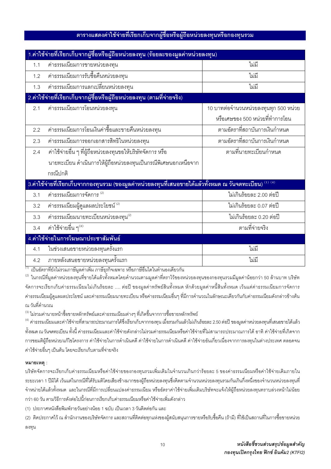### ์ ตารางแสดงค่าใช้จ่ายที่เรียกเก็บจากผู้ซื้อหรือผู้ถือหน่วยลงทุนหรือกองทุนรวม

|                                                                                                                                                 | 1.ค่าใช้จ่ายที่เรียกเก็บจากผู้ซื้อหรือผู้ถือหน่วยลงทุน (ร้อยละของมูลค่าหน่วยลงทุน) |                                       |  |  |
|-------------------------------------------------------------------------------------------------------------------------------------------------|------------------------------------------------------------------------------------|---------------------------------------|--|--|
| 1.1                                                                                                                                             | ค่าธรรมเนียมการขายหน่วยลงทุน                                                       | ไม่มี                                 |  |  |
| 1.2                                                                                                                                             | ____________<br>ค่าธรรมเนียมการรับซื้อคืนหน่วยลงทุน                                | ไม่มี                                 |  |  |
| 1.3                                                                                                                                             | ค่าธรรมเนียมการแลกเปลี่ยนหน่วยลงทุน                                                | ไม่มี                                 |  |  |
|                                                                                                                                                 | 2.ค่าใช้จ่ายที่เรียกเก็บจากผู้ซื้อหรือผู้ถือหน่วยลงทุน (ตามที่จ่ายจริง)            |                                       |  |  |
| 2.1                                                                                                                                             | ค่าธรรมเนียมการโอนหน่วยลงทุน                                                       | 10 บาทต่อจำนวนหน่วยลงทุนทุก 500 หน่วย |  |  |
|                                                                                                                                                 |                                                                                    | หรือเศษของ 500 หน่วยที่ทำการโอน       |  |  |
| 2.2                                                                                                                                             | ้ค่าธรรมเนียมการโอนเงินค่าซื้อและขายคืนหน่วยลงทุน                                  | ตามอัตราที่สถาบันการเงินกำหนด         |  |  |
| 2.3                                                                                                                                             | ค่าธรรมเนียมการออกเอกสารสิทธิในหน่วยลงทุน                                          | ตามอัตราที่สถาบันการเงินกำหนด         |  |  |
| 2.4                                                                                                                                             | ค่าใช้จ่ายอื่น ๆ ที่ผู้ถือหน่วยลงทุนขอให้บริษัทจัดการ หรือ                         | ตามที่นายทะเบียนกำหนด                 |  |  |
|                                                                                                                                                 | นายทะเบียน ดำเนินการให้ผู้ถือหน่วยลงทุนเป็นกรณีพิเศษนอกเหนือจาก                    |                                       |  |  |
|                                                                                                                                                 | กรณีปกติ                                                                           |                                       |  |  |
| 3.ค่าใช้จ่ายที่เรียกเก็บจากกองทุนรวม (ของมูลค่าหน่วยลงทุนที่เสนอขายได้แล้วทั้งหมด ณ วันจดทะเบียน) $^{\textrm{\tiny{(1)}}\,\textrm{\tiny{(4)}}}$ |                                                                                    |                                       |  |  |
| 3.1                                                                                                                                             | ค่าธรรมเนียมการจัดการ (2)                                                          | ไม่เกินร้อยละ 2.00 ต่อปี              |  |  |
| 3.2                                                                                                                                             | ค่าธรรมเนียมผู้ดูแลผลประโยชน์ (2)                                                  | ไม่เกินร้อยละ 0.07 ต่อปี              |  |  |
| 3.3                                                                                                                                             | $\rho$ ่าธรรมเนียมนายทะเบียนหน่วยลงทุน $^{(2)}$                                    | ไม่เกินร้อยละ 0.20 ต่อปี              |  |  |
| 3.4                                                                                                                                             | ค่าใช้จ่ายอื่น ๆ $^{\left( 3\right) }$                                             | ตามที่จ่ายจริง                        |  |  |
| 4.ค่าใช้จ่ายในการโฆษณาประชาสัมพันธ์                                                                                                             |                                                                                    |                                       |  |  |
| 4.1                                                                                                                                             | ในช่วงเสนอขายหน่วยลงทุนครั้งแรก                                                    | ไม่มี                                 |  |  |
| 4.2                                                                                                                                             | ภายหลังเสนอขายหน่วยลงทุนครั้งแรก                                                   | ไม่มี                                 |  |  |

<sup>้(1)</sup> เป็นอัตราที่ยังไม่รวมภาษีมูลค่าเพิ่ม ภาษีธุรกิจเฉพาะ หรือภาษีอื่นใดในทำนองเดียวกัน

<sup>(2)</sup> ในกรณีที่มูลค่าหน่วยลงทุนที่ขายได้แล้วทั้งหมดโดยคำนวณตามมูลค่าที่ตราไว้ของหน่วยลงทุนของกองทุนรวมมีมูลค่าน้อยกว่า 50 ล้านบาท บริษัท จัดการจะเรียกเก็บค่าธรรมเนียมไม่เกินร้อยละ …. ต่อปี ของมูลค่าทรัพย์สินทั้งหมด หักด้วยมูลค่าหนี้สินทั้งหมด เว้นแต่ค่าธรรมเนียมการจัดการ ้ค่าธรรมเนียมผู้ดูแลผลประโยชน์ และค่าธรรมเนียมนายทะเบียน หรือค่าธรรมเนียมอื่นๆ ที่มีการคำนวณในลักษณะเดียวกันกับค่าธรรมเนียมดังกล่าวข้างต้น ณ วันที่คำนวณ

<sup>(3)</sup> ไม่รวมค่านายหน้าซื้อขายหลักทรัพย์และค่าธรรมเนียมต่างๆ ที่เกิดขึ้นจากการซื้อขายหลักทรัพย์

<sup>(4)</sup> ค่าธรรมเนียมและค่าใช้จ่ายที่สามารถประมาณการได้ซึ่งเรียกเก็บจากกองทน เมื่อรวมกันแล้วไม่เกินร้อยละ 2.50 ต่อปี ของมลค่าหน่วยลงทนที่เสนอขายได้แล้ว ทั้งหมด ณวันจดทะเบียน ทั้งนี้ ค่าธรรมเนียมและค่าใช้จ่ายดังกล่าวไม่รวมค่าธรรมเนียมหรือค่าใช้จ่ายที่ไม่สามารถประมาณการได้ อาทิ ค่าใช้จ่ายที่เกิดจาก ้การขอมติผู้ถือหน่วย/แก้ไขโครงการ ค่าใช้จ่ายในการดำเนินคดี ค่าใช้จ่ายในการดำเนินคดี ค่าใช้จ่ายอันเกี่ยวเนื่องจากการลงทุนในต่างประเทศ ตลอดจน ้ค่าใช้จ่ายอื่นๆ เป็นต้น โดยจะเรียกเก็บตามที่จ่ายจริง

#### หมายเหตุ :

้บริษัทจัดการจะเรียกเก็บค่าธรรมเนียมหรือค่าใช้จ่ายของกองทุนรวมเพิ่มเติมในจำนวนเกินกว่าร้อยละ 5 ของค่าธรรมเนียมหรือค่าใช้จ่ายเดิมภายใน ระยะเวลา 1 ปีมิได้ เว้นแต่ในกรณีที่ได้รับมติโดยเสียงข้างมากของผู้ถือหน่วยลงทุนซึ่งคิดตามจำนวนหน่วยลงทุนรวมกันเกินกึ่งหนึ่งของจำนวนหน่วยลงทุนที่ ้จำหน่ายได้แล้วทั้งหมด และในกรณีที่มีการเปลี่ยนแปลงค่าธรรมเนียม หรืออัตราค่าใช้จ่ายเพิ่มเติมบริษัทจะแจ้งให้ผู้ถือหน่วยลงทุนทราบล่วงหน้าไม่น้อย ้ กว่า 60 วัน ตามวิธีการดังต่อไปนี้ก่อนการเรียกเก็บค่าธรรมเนียมหรือค่าใช้จ่ายเพิ่มดังกล่าว

(1) ประกาศหนังสือพิมพ์รายวันอย่างน้อย 1 ฉบับ เป็นเวลา 3 วันติดต่อกัน และ

(2) ติดประกาศไว้ ณ สำนักงานของบริษัทจัดการ และสถานที่ติดต่อทุกแห่งของผู้สนับสนุนการขายหรือรับซื้อคืน (ถ้ามี) ที่ใช้เป็นสถานที่ในการซื้อขายหน่วย ลงทุน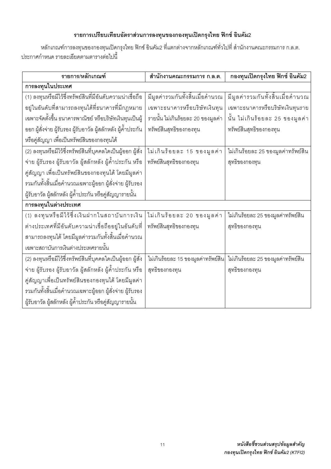### รายการเปรียบเทียบอัตราส่วนการลงทุนของกองทุนเปิดกรุงไทย ฟิกซ์ อินคัม2

หลักเกณฑ์การลงทุนของกองทุนเปิดกรุงไทย ฟิกซ์ อินคัม2 ที่แตกต่างจากหลักเกณฑ์ทั่วไปที่ สำนักงานคณะกรรมการ ก.ล.ต. ประกาศกำหนด รายละเอียดตามตารางต่อไปนี้

| รายการ/หลักเกณฑ์                                               | สำนักงานคณะกรรมการ ก.ล.ต.           | กองทุนเปิดกรุงไทย ฟิกซ์ อินคัม2     |
|----------------------------------------------------------------|-------------------------------------|-------------------------------------|
| การลงทุนในประเทศ                                               |                                     |                                     |
| (1) ลงทุนหรือมีไว้ซึ่งทรัพย์สินที่มีอันดับความน่าเชื่อถือ      | มีมูลค่ารวมกันทั้งสิ้นเมื่อคำนวณ    | มีมูลค่ารวมกันทั้งสิ้นเมื่อคำนวณ    |
| อยู่ในอันดับที่สามารถลงทุนได้ที่ธนาคารที่มีกฎหมาย              | เฉพาะธนาคารหรือบริษัทเงินทุน        | เฉพาะธนาคารหรือบริษัทเงินทุนราย     |
| เฉพาะจัดตั้งขึ้น ธนาคารพาณิชย์ หรือบริษัทเงินทุนเป็นผู้        | รายนั้น ไม่เกินร้อยละ 20 ของมูลค่า  | นั้น ไม่เกินร้อยละ 25 ของมูลค่า     |
| ออก ผู้สั่งจ่าย ผู้รับรอง ผู้รับอาวัล ผู้สลักหลัง ผู้ค้ำประกัน | ทรัพย์สินสุทธิของกองทุน             | ทรัพย์สินสุทธิของกองทุน             |
| หรือคู่สัญญา เพื่อเป็นทรัพย์สินของกองทุนได้                    |                                     |                                     |
|                                                                | ไม่เกินร้อยละ 15 ของมูลค่า          | ไม่เกินร้อยละ 25 ของมูลค่าทรัพย์สิน |
| จ่าย ผู้รับรอง ผู้รับอาวัล ผู้สลักหลัง ผู้ค้ำประกัน หรือ       | ทรัพย์สินสุทธิของกองทุน             | สุทธิของกองทุน                      |
| คู่สัญญา เพื่อเป็นทรัพย์สินของกองทุนได้ โดยมีมูลค่า            |                                     |                                     |
| รวมกันทั้งสิ้นเมื่อคำนวณเฉพาะผู้ออก ผู้สั่งจ่าย ผู้รับรอง      |                                     |                                     |
| ผู้รับอาวัล ผู้สลักหลัง ผู้ค้ำประกัน หรือคู่สัญญารายนั้น       |                                     |                                     |
| การลงทุนในต่างประเทศ                                           |                                     |                                     |
| (1) ลงทุนหรือมีไว้ซึ่งเงินฝากในสถาบันการเงิน                   | ไม่เกินร้อยละ 20 ของมูลค่า          | ไม่เกินร้อยละ 25 ของมูลค่าทรัพย์สิน |
| ต่างประเทศที่มีอันดับความน่าเชื่อถืออยู่ในอันดับที่            | ทรัพย์สินสุทธิของกองทุน             | สุทธิของกองทุน                      |
| สามารถลงทุนได้ โดยมีมูลค่ารวมกันทั้งสิ้นเมื่อคำนวณ             |                                     |                                     |
| เฉพาะสถาบันการเงินต่างประเทศรายนั้น                            |                                     |                                     |
| (2) ลงทุนหรือมีไว้ซึ่งทรัพย์สินที่บุคคลใดเป็นผู้ออก ผู้สั่ง    | ไม่เกินร้อยละ 15 ของมูลค่าทรัพย์สิน | ไม่เกินร้อยละ 25 ของมูลค่าทรัพย์สิน |
| จ่าย ผู้รับรอง ผู้รับอาวัล ผู้สลักหลัง ผู้ค้ำประกัน หรือ       | สุทธิของกองทุน                      | สุทธิของกองทุน                      |
| คู่สัญญาเพื่อเป็นทรัพย์สินของกองทุนได้ โดยมีมูลค่า             |                                     |                                     |
| รวมกันทั้งสิ้นเมื่อคำนวณเฉพาะผู้ออก ผู้สั่งจ่าย ผู้รับรอง      |                                     |                                     |
| ผู้รับอาวัล ผู้สลักหลัง ผู้ค้ำประกัน หรือคู่สัญญารายนั้น       |                                     |                                     |